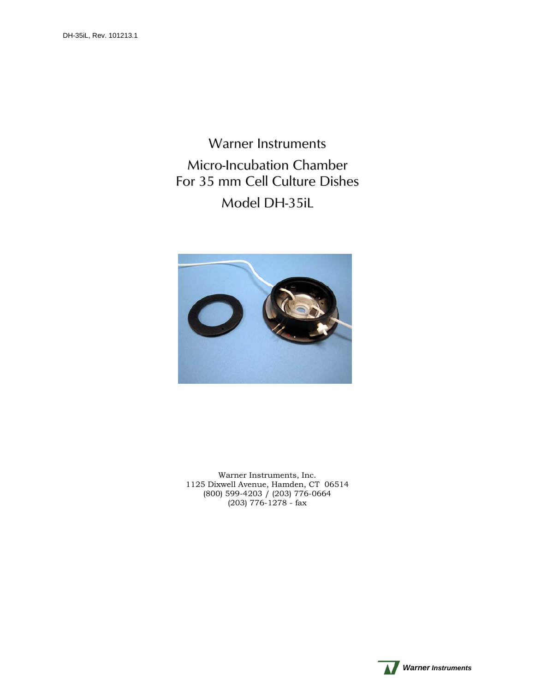Warner Instruments Micro-Incubation Chamber For 35 mm Cell Culture Dishes Model DH-35iL



Warner Instruments, Inc. 1125 Dixwell Avenue, Hamden, CT 06514 (800) 599-4203 / (203) 776-0664 (203) 776-1278 - fax

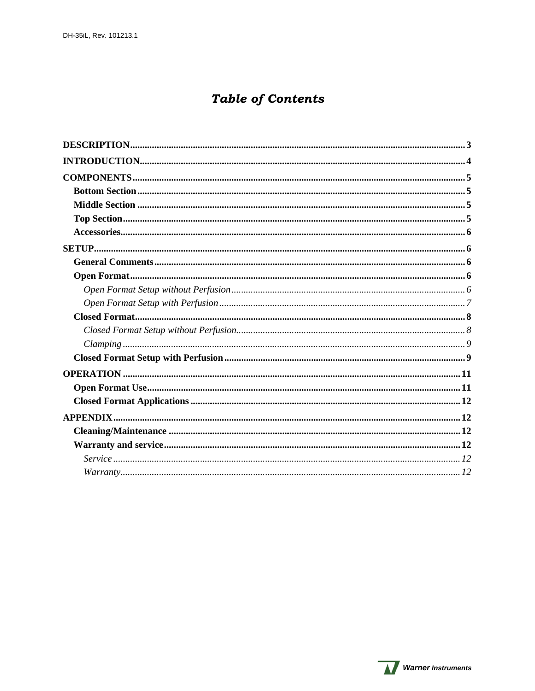# **Table of Contents**

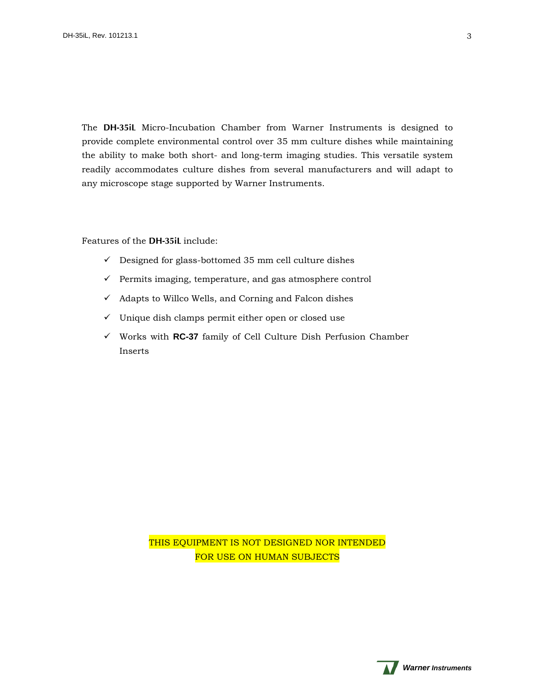<span id="page-2-0"></span>The **DH-35iL** Micro-Incubation Chamber from Warner Instruments is designed to provide complete environmental control over 35 mm culture dishes while maintaining the ability to make both short- and long-term imaging studies. This versatile system readily accommodates culture dishes from several manufacturers and will adapt to any microscope stage supported by Warner Instruments.

Features of the **DH-35iL** include:

- $\checkmark$  Designed for glass-bottomed 35 mm cell culture dishes
- $\checkmark$  Permits imaging, temperature, and gas atmosphere control
- $\checkmark$  Adapts to Willco Wells, and Corning and Falcon dishes
- $\checkmark$  Unique dish clamps permit either open or closed use
- Works with **RC-37** family of Cell Culture Dish Perfusion Chamber Inserts

THIS EQUIPMENT IS NOT DESIGNED NOR INTENDED FOR USE ON HUMAN SUBJECTS

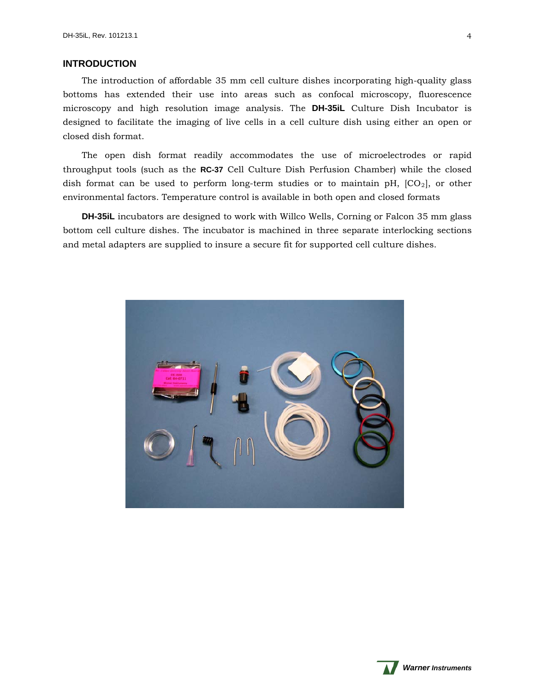# <span id="page-3-0"></span>**INTRODUCTION**

The introduction of affordable 35 mm cell culture dishes incorporating high-quality glass bottoms has extended their use into areas such as confocal microscopy, fluorescence microscopy and high resolution image analysis. The **DH-35iL** Culture Dish Incubator is designed to facilitate the imaging of live cells in a cell culture dish using either an open or closed dish format.

The open dish format readily accommodates the use of microelectrodes or rapid throughput tools (such as the **RC-37** Cell Culture Dish Perfusion Chamber) while the closed dish format can be used to perform long-term studies or to maintain pH,  $[CO_2]$ , or other environmental factors. Temperature control is available in both open and closed formats

**DH-35iL** incubators are designed to work with Willco Wells, Corning or Falcon 35 mm glass bottom cell culture dishes. The incubator is machined in three separate interlocking sections and metal adapters are supplied to insure a secure fit for supported cell culture dishes.



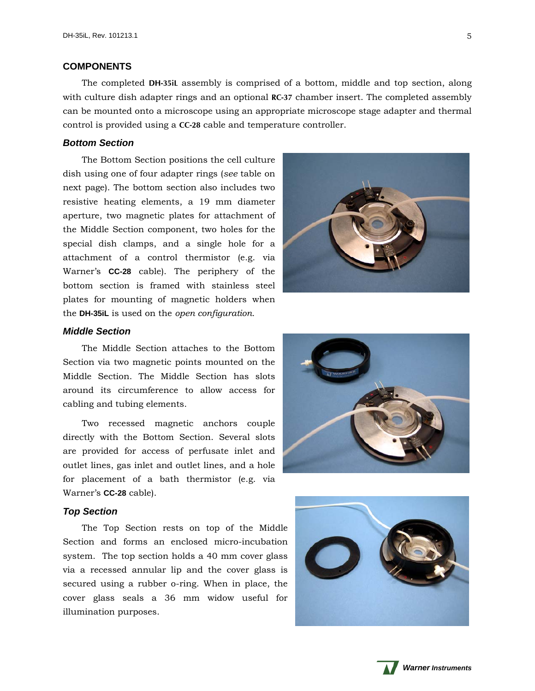# <span id="page-4-0"></span>**COMPONENTS**

The completed **DH-35iL** assembly is comprised of a bottom, middle and top section, along with culture dish adapter rings and an optional **RC-37** chamber insert. The completed assembly can be mounted onto a microscope using an appropriate microscope stage adapter and thermal control is provided using a **CC-28** cable and temperature controller.

# <span id="page-4-1"></span>*Bottom Section*

The Bottom Section positions the cell culture dish using one of four adapter rings (*see* table on next page). The bottom section also includes two resistive heating elements, a 19 mm diameter aperture, two magnetic plates for attachment of the Middle Section component, two holes for the special dish clamps, and a single hole for a attachment of a control thermistor (e.g. via Warner's **CC-28** cable). The periphery of the bottom section is framed with stainless steel plates for mounting of magnetic holders when the **DH-35iL** is used on the *open configuration*.



#### <span id="page-4-2"></span>*Mid dle Section*

around its circumference to allow access for cabl ing and tubing elements. The Middle Section attaches to the Bottom Section via two magnetic points mounted on the Middle Section. The Middle Section has slots

for placement of a bath thermistor (e.g. via Warner's **CC-28** cable). Two recessed magnetic anchors couple directly with the Bottom Section. Several slots are provided for access of perfusate inlet and outlet lines, gas inlet and outlet lines, and a hole

# <span id="page-4-3"></span>*Top Section*

cover glass seals a 36 mm widow useful for illumination purposes. The Top Section rests on top of the Middle Section and forms an enclosed micro-incubation system. The top section holds a 40 mm cover glass via a recessed annular lip and the cover glass is secured using a rubber o-ring. When in place, the





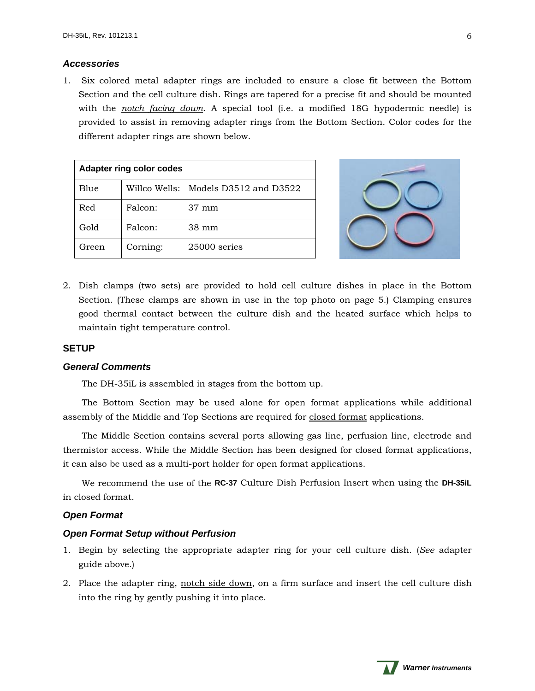# <span id="page-5-0"></span>*Accessories*

1. Six colored metal adapter rings are included to ensure a close fit between the Bottom Section and the cell culture dish. Rings are tapered for a precise fit and should be mounted with the *notch facing down*. A special tool (i.e. a modified 18G hypodermic needle) is provided to assist in removing adapter rings from the Bottom Section. Color codes for the different adapter rings are shown below.

| <b>Adapter ring color codes</b> |          |                                      |
|---------------------------------|----------|--------------------------------------|
| Blue                            |          | Willco Wells: Models D3512 and D3522 |
| Red                             | Falcon:  | $37 \text{ mm}$                      |
| Gold                            | Falcon:  | $38 \text{ mm}$                      |
| Green                           | Corning: | $25000$ series                       |



2. Dish clamps (two sets) are provided to hold cell culture dishes in place in the Bottom Section. (These clamps are shown in use in the top photo on page 5.) Clamping ensures good thermal contact between the culture dish and the heated surface which helps to maintain tight temperature control.

# <span id="page-5-1"></span>**SETUP**

#### <span id="page-5-2"></span>*General Comments*

The DH-35iL is assembled in stages from the bottom up.

The Bottom Section may be used alone for open format applications while additional assembly of the Middle and Top Sections are required for closed format applications.

The Middle Section contains several ports allowing gas line, perfusion line, electrode and thermistor access. While the Middle Section has been designed for closed format applications, it can also be used as a multi-port holder for open format applications.

We recommend the use of the **RC-37** Culture Dish Perfusion Insert when using the **DH-35iL** in closed format.

# <span id="page-5-3"></span>*Open Format*

# <span id="page-5-4"></span>*Open Format Setup without Perfusion*

- 1. Begin by selecting the appropriate adapter ring for your cell culture dish. (*See* adapter guide above.)
- 2. Place the adapter ring, notch side down, on a firm surface and insert the cell culture dish into the ring by gently pushing it into place.

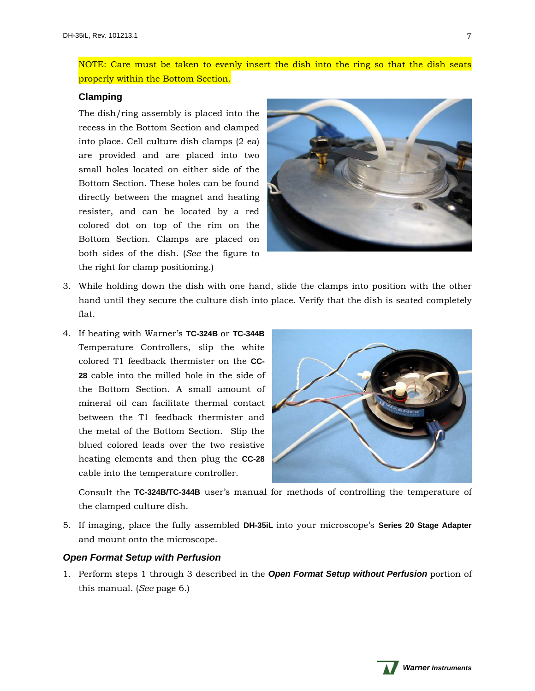NOTE: Care must be taken to evenly insert the dish into the ring so that the dish seats properly within the Bottom Section.

# **Clamping**

The dish/ring assembly is placed into the recess in the Bottom Section and clamped into place. Cell culture dish clamps (2 ea) are provided and are placed into two small holes located on either side of the Bottom Section. These holes can be found directly between the magnet and heating resister, and can be located by a red colored dot on top of the rim on the Bottom Section. Clamps are placed on both sides of the dish. (*See* the figure to the right for clamp positioning.)



- 3. While holding down the dish with one hand, slide the clamps into position with the other hand until they secure the culture dish into place. Verify that the dish is seated completely flat.
- 4. If heating with Warner's **TC-324B** or **TC-344B** Temperature Controllers, slip the white colored T1 feedback thermister on the **CC-28** cable into the milled hole in the side of the Bottom Section. A small amount of mineral oil can facilitate thermal contact between the T1 feedback thermister and the metal of the Bottom Section. Slip the blued colored leads over the two resistive heating elements and then plug the **CC-28** cable into the temperature controller.



Consult the **TC-324B/TC-344B** user's manual for methods of controlling the temperature of the clamped culture dish.

5. If imaging, place the fully assembled **DH-35iL** into your microscope's **Series 20 Stage Adapter** and mount onto the microscope.

# <span id="page-6-0"></span>*Open Format Setup with Perfusion*

1. Perform steps 1 through 3 described in the *Open Format Setup without Perfusion* portion of this manual. (*See* page 6.)

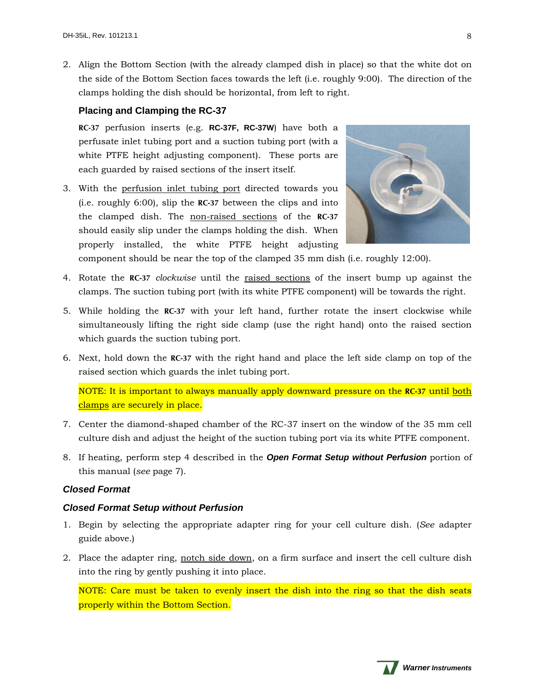2. Align the Bottom Section (with the already clamped dish in place) so that the white dot on the side of the Bottom Section faces towards the left (i.e. roughly 9:00). The direction of the clamps holding the dish should be horizontal, from left to right.

# **Placing and Clamping the RC-37**

**RC-37** perfusion inserts (e.g. **RC-37F, RC-37W**) have both a perfusate inlet tubing port and a suction tubing port (with a white PTFE height adjusting component). These ports are each guarded by raised sections of the insert itself.

3. With the perfusion inlet tubing port directed towards you (i.e. roughly 6:00), slip the **RC-37** between the clips and into the clamped dish. The non-raised sections of the **RC-37** should easily slip under the clamps holding the dish. When properly installed, the white PTFE height adjusting



component should be near the top of the clamped 35 mm dish (i.e. roughly 12:00).

- 4. Rotate the **RC-37** *clockwise* until the raised sections of the insert bump up against the clamps. The suction tubing port (with its white PTFE component) will be towards the right.
- 5. While holding the **RC-37** with your left hand, further rotate the insert clockwise while simultaneously lifting the right side clamp (use the right hand) onto the raised section which guards the suction tubing port.
- 6. Next, hold down the **RC-37** with the right hand and place the left side clamp on top of the raised section which guards the inlet tubing port.

NOTE: It is important to always manually apply downward pressure on the **RC-37** until both clamps are securely in place.

- 7. Center the diamond-shaped chamber of the RC-37 insert on the window of the 35 mm cell culture dish and adjust the height of the suction tubing port via its white PTFE component.
- 8. If heating, perform step 4 described in the *Open Format Setup without Perfusion* portion of this manual (*see* page 7).

# <span id="page-7-0"></span>*Closed Format*

# <span id="page-7-1"></span>*Closed Format Setup without Perfusion*

- 1. Begin by selecting the appropriate adapter ring for your cell culture dish. (*See* adapter guide above.)
- 2. Place the adapter ring, notch side down, on a firm surface and insert the cell culture dish into the ring by gently pushing it into place.

NOTE: Care must be taken to evenly insert the dish into the ring so that the dish seats properly within the Bottom Section.

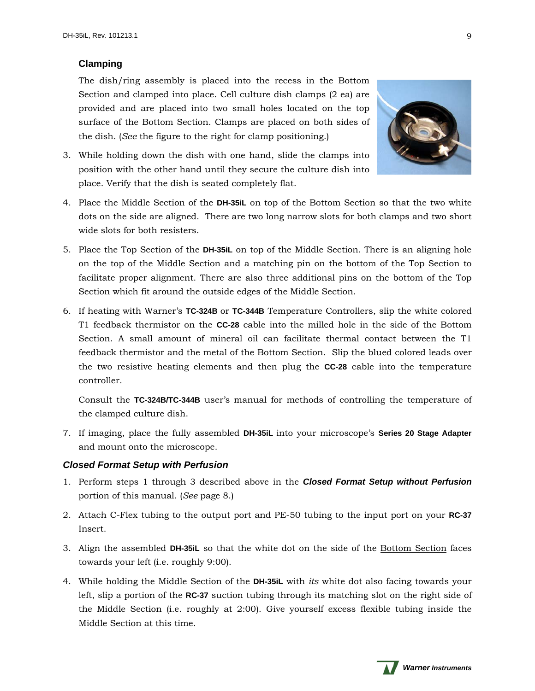# <span id="page-8-0"></span>**Clamping**

The dish/ring assembly is placed into the recess in the Bottom Section and clamped into place. Cell culture dish clamps (2 ea) are provided and are placed into two small holes located on the top surface of the Bottom Section. Clamps are placed on both sides of the dish. (*See* the figure to the right for clamp positioning.)



- 3. While holding down the dish with one hand, slide the clamps into position with the other hand until they secure the culture dish into place. Verify that the dish is seated completely flat.
- 4. Place the Middle Section of the **DH-35iL** on top of the Bottom Section so that the two white dots on the side are aligned. There are two long narrow slots for both clamps and two short wide slots for both resisters.
- 5. Place the Top Section of the **DH-35iL** on top of the Middle Section. There is an aligning hole on the top of the Middle Section and a matching pin on the bottom of the Top Section to facilitate proper alignment. There are also three additional pins on the bottom of the Top Section which fit around the outside edges of the Middle Section.
- 6. If heating with Warner's **TC-324B** or **TC-344B** Temperature Controllers, slip the white colored T1 feedback thermistor on the **CC-28** cable into the milled hole in the side of the Bottom Section. A small amount of mineral oil can facilitate thermal contact between the T1 feedback thermistor and the metal of the Bottom Section. Slip the blued colored leads over the two resistive heating elements and then plug the **CC-28** cable into the temperature controller.

Consult the **TC-324B/TC-344B** user's manual for methods of controlling the temperature of the clamped culture dish.

7. If imaging, place the fully assembled **DH-35iL** into your microscope's **Series 20 Stage Adapter** and mount onto the microscope.

# <span id="page-8-1"></span>*Closed Format Setup with Perfusion*

- 1. Perform steps 1 through 3 described above in the *Closed Format Setup without Perfusion* portion of this manual. (*See* page 8.)
- 2. Attach C-Flex tubing to the output port and PE-50 tubing to the input port on your **RC-37** Insert.
- 3. Align the assembled **DH-35iL** so that the white dot on the side of the Bottom Section faces towards your left (i.e. roughly 9:00).
- 4. While holding the Middle Section of the **DH-35iL** with *its* white dot also facing towards your left, slip a portion of the **RC-37** suction tubing through its matching slot on the right side of the Middle Section (i.e. roughly at 2:00). Give yourself excess flexible tubing inside the Middle Section at this time.

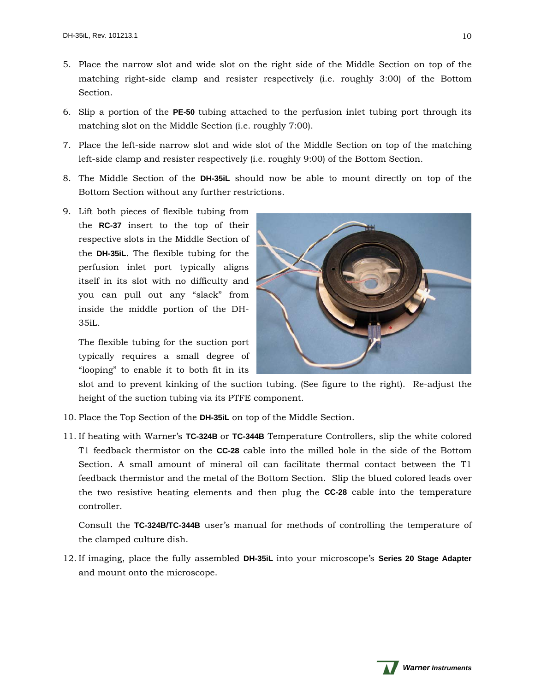- 5. Place the narrow slot and wide slot on the right side of the Middle Section on top of the matching right-side clamp and resister respectively (i.e. roughly 3:00) of the Bottom Section.
- 6. Slip a portion of the **PE-50** tubing attached to the perfusion inlet tubing port through its matching slot on the Middle Section (i.e. roughly 7:00).
- 7. Place the left-side narrow slot and wide slot of the Middle Section on top of the matching left-side clamp and resister respectively (i.e. roughly 9:00) of the Bottom Section.
- 8. The Middle Section of the **DH-35iL** should now be able to mount directly on top of the Bottom Section without any further restrictions.
- 9. Lift both pieces of flexible tubing from the **RC-37** insert to the top of their respective slots in the Middle Section of the **DH-35iL**. The flexible tubing for the perfusion inlet port typically aligns itself in its slot with no difficulty and you can pull out any "slack" from inside the middle portion of the DH-35iL.

The flexible tubing for the suction port typically requires a small degree of "looping" to enable it to both fit in its



slot and to prevent kinking of the suction tubing. (See figure to the right). Re-adjust the height of the suction tubing via its PTFE component.

- 10. Place the Top Section of the **DH-35iL** on top of the Middle Section.
- 11. If heating with Warner's **TC-324B** or **TC-344B** Temperature Controllers, slip the white colored T1 feedback thermistor on the **CC-28** cable into the milled hole in the side of the Bottom Section. A small amount of mineral oil can facilitate thermal contact between the T1 feedback thermistor and the metal of the Bottom Section. Slip the blued colored leads over the two resistive heating elements and then plug the **CC-28** cable into the temperature controller.

Consult the **TC-324B/TC-344B** user's manual for methods of controlling the temperature of the clamped culture dish.

12. If imaging, place the fully assembled **DH-35iL** into your microscope's **Series 20 Stage Adapter** and mount onto the microscope.

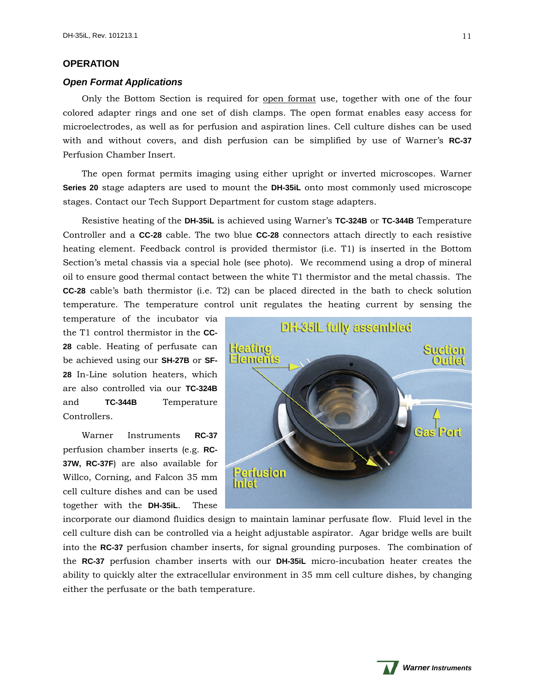# <span id="page-10-0"></span>**OPERATION**

## <span id="page-10-1"></span>*Open Format Applications*

Only the Bottom Section is required for open format use, together with one of the four colored adapter rings and one set of dish clamps. The open format enables easy access for microelectrodes, as well as for perfusion and aspiration lines. Cell culture dishes can be used with and without covers, and dish perfusion can be simplified by use of Warner's **RC-37** Perfusion Chamber Insert.

The open format permits imaging using either upright or inverted microscopes. Warner **Series 20** stage adapters are used to mount the **DH-35iL** onto most commonly used microscope stages. Contact our Tech Support Department for custom stage adapters.

Resistive heating of the **DH-35iL** is achieved using Warner's **TC-324B** or **TC-344B** Temperature Controller and a **CC-28** cable. The two blue **CC-28** connectors attach directly to each resistive heating element. Feedback control is provided thermistor (i.e. T1) is inserted in the Bottom Section's metal chassis via a special hole (see photo). We recommend using a drop of mineral oil to ensure good thermal contact between the white T1 thermistor and the metal chassis. The **CC-28** cable's bath thermistor (i.e. T2) can be placed directed in the bath to check solution temperature. The temperature control unit regulates the heating current by sensing the

temperature of the incubator via the T1 control thermistor in the **CC-28** cable. Heating of perfusate can be achieved using our **SH-27B** or **SF-28** In-Line solution heaters, which are also controlled via our **TC-324B** and **TC-344B** Temperature Controllers.

Warner Instruments **RC-37** perfusion chamber inserts (e.g. **RC-37W, RC-37F**) are also available for Willco, Corning, and Falcon 35 mm cell culture dishes and can be used together with the **DH-35iL**. These



incorporate our diamond fluidics design to maintain laminar perfusate flow. Fluid level in the cell culture dish can be controlled via a height adjustable aspirator. Agar bridge wells are built into the **RC-37** perfusion chamber inserts, for signal grounding purposes. The combination of the **RC-37** perfusion chamber inserts with our **DH-35iL** micro-incubation heater creates the ability to quickly alter the extracellular environment in 35 mm cell culture dishes, by changing either the perfusate or the bath temperature.